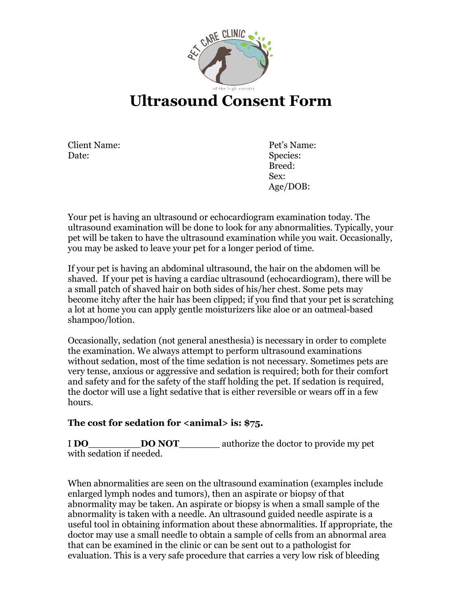

# **Ultrasound Consent Form**

Client Name: Date:

Pet's Name: Species: Breed: Sex: Age/DOB:

Your pet is having an ultrasound or echocardiogram examination today. The ultrasound examination will be done to look for any abnormalities. Typically, your pet will be taken to have the ultrasound examination while you wait. Occasionally, you may be asked to leave your pet for a longer period of time.

If your pet is having an abdominal ultrasound, the hair on the abdomen will be shaved. If your pet is having a cardiac ultrasound (echocardiogram), there will be a small patch of shaved hair on both sides of his/her chest. Some pets may become itchy after the hair has been clipped; if you find that your pet is scratching a lot at home you can apply gentle moisturizers like aloe or an oatmeal-based shampoo/lotion.

Occasionally, sedation (not general anesthesia) is necessary in order to complete the examination. We always attempt to perform ultrasound examinations without sedation, most of the time sedation is not necessary. Sometimes pets are very tense, anxious or aggressive and sedation is required; both for their comfort and safety and for the safety of the staff holding the pet. If sedation is required, the doctor will use a light sedative that is either reversible or wears off in a few hours.

### **The cost for sedation for <animal> is: \$75.**

I **DO**\_\_\_\_\_\_\_\_\_**DO NOT**\_\_\_\_\_\_\_ authorize the doctor to provide my pet with sedation if needed.

When abnormalities are seen on the ultrasound examination (examples include enlarged lymph nodes and tumors), then an aspirate or biopsy of that abnormality may be taken. An aspirate or biopsy is when a small sample of the abnormality is taken with a needle. An ultrasound guided needle aspirate is a useful tool in obtaining information about these abnormalities. If appropriate, the doctor may use a small needle to obtain a sample of cells from an abnormal area that can be examined in the clinic or can be sent out to a pathologist for evaluation. This is a very safe procedure that carries a very low risk of bleeding